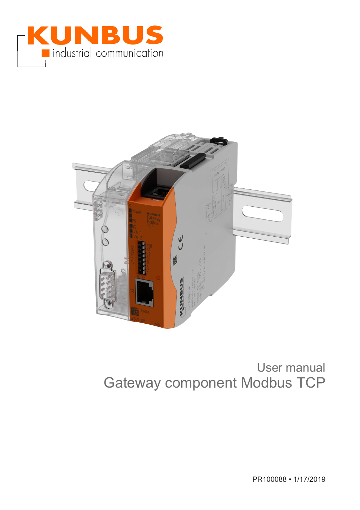



# User manual Gateway component Modbus TCP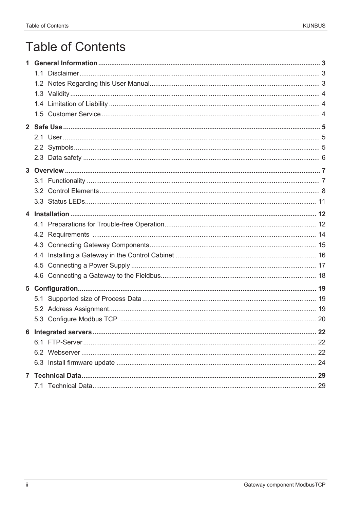# **Table of Contents**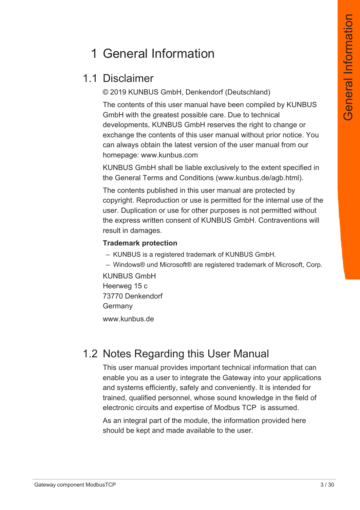# 1 General Information

## 1.1 Disclaimer

© 2019 KUNBUS GmbH, Denkendorf (Deutschland)

The contents of this user manual have been compiled by KUNBUS GmbH with the greatest possible care. Due to technical developments, KUNBUS GmbH reserves the right to change or exchange the contents of this user manual without prior notice. You can always obtain the latest version of the user manual from our homepage: www.kunbus.com

KUNBUS GmbH shall be liable exclusively to the extent specified in the General Terms and Conditions (www.kunbus.de/agb.html).

The contents published in this user manual are protected by copyright. Reproduction or use is permitted for the internal use of the user. Duplication or use for other purposes is not permitted without the express written consent of KUNBUS GmbH. Contraventions will result in damages.

#### **Trademark protection**

- KUNBUS is a registered trademark of KUNBUS GmbH.
- Windows® und Microsoft® are registered trademark of Microsoft, Corp.

KUNBUS GmbH Heerweg 15 c 73770 Denkendorf Germany

[www.kunbus.de](http://www.kunbus.de)

## 1.2 Notes Regarding this User Manual

This user manual provides important technical information that can enable you as a user to integrate the Gateway into your applications and systems efficiently, safely and conveniently. It is intended for trained, qualified personnel, whose sound knowledge in the field of electronic circuits and expertise of Modbus TCP is assumed.

As an integral part of the module, the information provided here should be kept and made available to the user.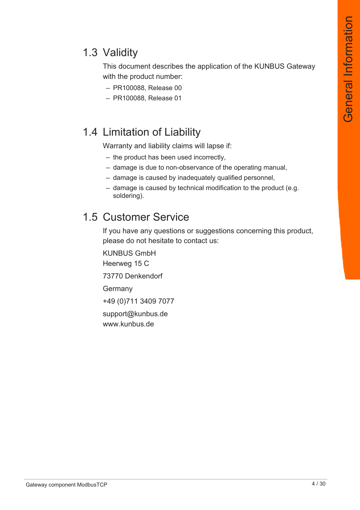## 1.3 Validity

This document describes the application of the KUNBUS Gateway with the product number:

- PR100088, Release 00
- PR100088, Release 01

## 1.4 Limitation of Liability

Warranty and liability claims will lapse if:

- the product has been used incorrectly,
- damage is due to non-observance of the operating manual,
- damage is caused by inadequately qualified personnel,
- damage is caused by technical modification to the product (e.g. soldering).

#### 1.5 Customer Service

If you have any questions or suggestions concerning this product, please do not hesitate to contact us:

KUNBUS GmbH Heerweg 15 C 73770 Denkendorf Germany +49 (0)711 3409 7077 [support@kunbus.de](mailto:support@kunbus.de) [www.kunbus.de](http://www.kunbus.de)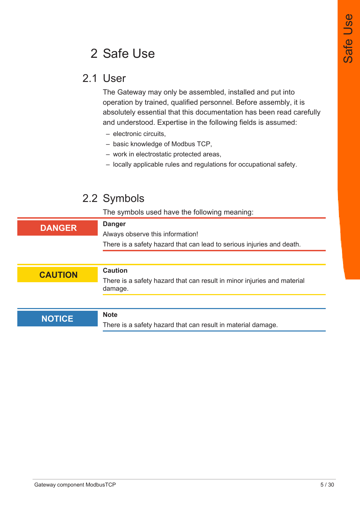# 2 Safe Use

#### 2.1 User

The Gateway may only be assembled, installed and put into operation by trained, qualified personnel. Before assembly, it is absolutely essential that this documentation has been read carefully and understood. Expertise in the following fields is assumed:

- electronic circuits,
- basic knowledge of Modbus TCP,
- work in electrostatic protected areas,
- locally applicable rules and regulations for occupational safety.

## 2.2 Symbols

The symbols used have the following meaning:

| <b>Danger</b><br><b>DANGER</b><br>Always observe this information!<br>There is a safety hazard that can lead to serious injuries and death.<br><b>Caution</b><br><b>CAUTION</b><br>There is a safety hazard that can result in minor injuries and material<br>damage. |  |  |
|-----------------------------------------------------------------------------------------------------------------------------------------------------------------------------------------------------------------------------------------------------------------------|--|--|
|                                                                                                                                                                                                                                                                       |  |  |
|                                                                                                                                                                                                                                                                       |  |  |
|                                                                                                                                                                                                                                                                       |  |  |
|                                                                                                                                                                                                                                                                       |  |  |
|                                                                                                                                                                                                                                                                       |  |  |
|                                                                                                                                                                                                                                                                       |  |  |
|                                                                                                                                                                                                                                                                       |  |  |
|                                                                                                                                                                                                                                                                       |  |  |
| <b>Note</b><br><b>NOTICE</b>                                                                                                                                                                                                                                          |  |  |
| There is a safety hazard that can result in material damage.                                                                                                                                                                                                          |  |  |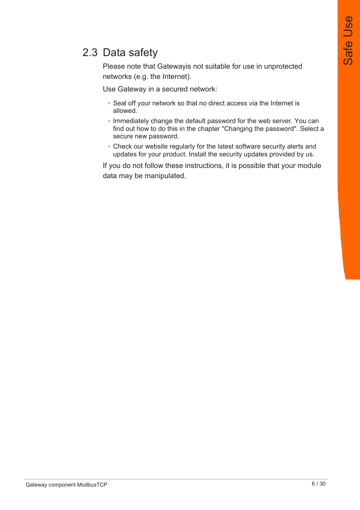## 2.3 Data safety

Please note that Gatewayis not suitable for use in unprotected networks (e.g. the Internet).

Use Gateway in a secured network:

- Seal off your network so that no direct access via the Internet is allowed.
- Immediately change the default password for the web server. You can find out how to do this in the chapter "Changing the password". Select a secure new password.
- Check our website regularly for the latest software security alerts and updates for your product. Install the security updates provided by us.

If you do not follow these instructions, it is possible that your module data may be manipulated.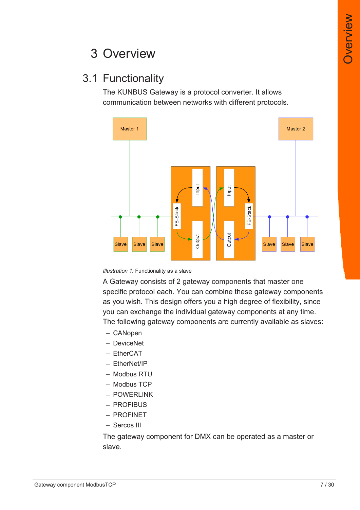# 3 Overview

## 3.1 Functionality

The KUNBUS Gateway is a protocol converter. It allows communication between networks with different protocols.



*Illustration 1:* Functionality as a slave

A Gateway consists of 2 gateway components that master one specific protocol each. You can combine these gateway components as you wish. This design offers you a high degree of flexibility, since you can exchange the individual gateway components at any time. The following gateway components are currently available as slaves:

- CANopen
- DeviceNet
- EtherCAT
- EtherNet/IP
- Modbus RTU
- Modbus TCP
- POWERLINK
- PROFIBUS
- PROFINET
- Sercos III

The gateway component for DMX can be operated as a master or slave.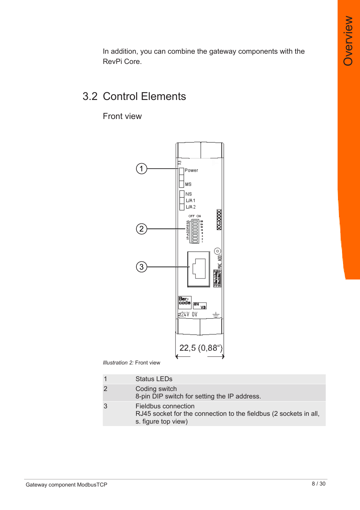In addition, you can combine the gateway components with the RevPi Core.

## 3.2 Control Elements

Front view



*Illustration 2:* Front view

|   | <b>Status LEDs</b>                                                                                              |
|---|-----------------------------------------------------------------------------------------------------------------|
| 2 | Coding switch<br>8-pin DIP switch for setting the IP address.                                                   |
| 3 | Fieldbus connection<br>RJ45 socket for the connection to the fieldbus (2 sockets in all,<br>s. figure top view) |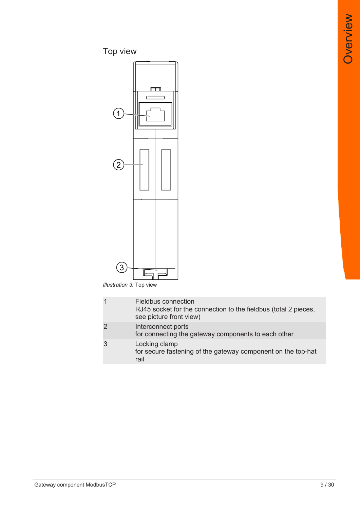## Top view



*Illustration 3:* Top view

|                | Fieldbus connection<br>RJ45 socket for the connection to the fieldbus (total 2 pieces,<br>see picture front view) |
|----------------|-------------------------------------------------------------------------------------------------------------------|
| $\overline{2}$ | Interconnect ports<br>for connecting the gateway components to each other                                         |
| 3              | Locking clamp<br>for secure fastening of the gateway component on the top-hat<br>rail                             |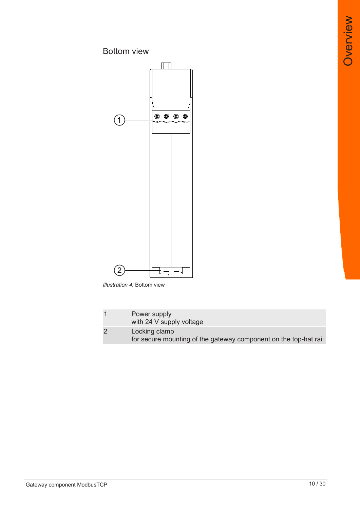Overview **Overview** 

#### Bottom view



*Illustration 4:* Bottom view

| Power supply<br>with 24 V supply voltage                                          |
|-----------------------------------------------------------------------------------|
| Locking clamp<br>for secure mounting of the gateway component on the top-hat rail |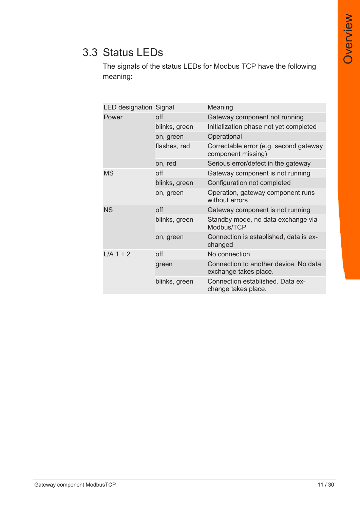## 3.3 Status LEDs

The signals of the status LEDs for Modbus TCP have the following meaning:

| <b>LED designation Signal</b> |               | Meaning                                                        |
|-------------------------------|---------------|----------------------------------------------------------------|
| Power                         | off           | Gateway component not running                                  |
|                               | blinks, green | Initialization phase not yet completed                         |
|                               | on, green     | Operational                                                    |
|                               | flashes, red  | Correctable error (e.g. second gateway<br>component missing)   |
|                               | on, red       | Serious error/defect in the gateway                            |
| <b>MS</b>                     | off           | Gateway component is not running                               |
|                               | blinks, green | Configuration not completed                                    |
|                               | on, green     | Operation, gateway component runs<br>without errors            |
| <b>NS</b>                     | off           | Gateway component is not running                               |
|                               | blinks, green | Standby mode, no data exchange via<br>Modbus/TCP               |
|                               | on, green     | Connection is established, data is ex-<br>changed              |
| $L/A$ 1 + 2                   | off           | No connection                                                  |
|                               | green         | Connection to another device. No data<br>exchange takes place. |
|                               | blinks, green | Connection established. Data ex-<br>change takes place.        |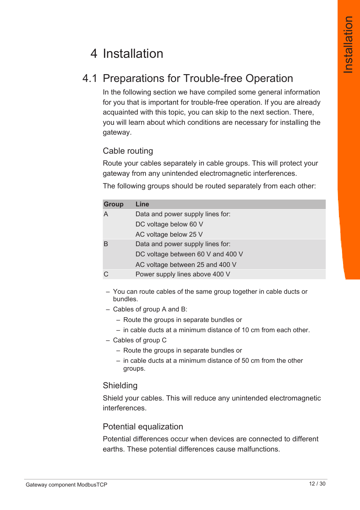# 4 Installation

## 4.1 Preparations for Trouble-free Operation

In the following section we have compiled some general information for you that is important for trouble-free operation. If you are already acquainted with this topic, you can skip to the next section. There, you will learn about which conditions are necessary for installing the gateway.

#### Cable routing

Route your cables separately in cable groups. This will protect your gateway from any unintended electromagnetic interferences.

The following groups should be routed separately from each other:

| <b>Group</b> | Line                              |
|--------------|-----------------------------------|
|              | Data and power supply lines for:  |
|              | DC voltage below 60 V             |
|              | AC voltage below 25 V             |
|              | Data and power supply lines for:  |
|              | DC voltage between 60 V and 400 V |
|              | AC voltage between 25 and 400 V   |
|              | Power supply lines above 400 V    |

– You can route cables of the same group together in cable ducts or bundles.

- Cables of group A and B:
	- Route the groups in separate bundles or
	- in cable ducts at a minimum distance of 10 cm from each other.
- Cables of group C
	- Route the groups in separate bundles or
	- in cable ducts at a minimum distance of 50 cm from the other groups.

#### Shielding

Shield your cables. This will reduce any unintended electromagnetic interferences.

#### Potential equalization

Potential differences occur when devices are connected to different earths. These potential differences cause malfunctions.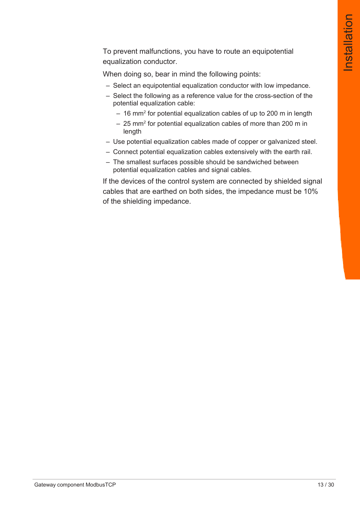To prevent malfunctions, you have to route an equipotential equalization conductor.

When doing so, bear in mind the following points:

- Select an equipotential equalization conductor with low impedance.
- Select the following as a reference value for the cross-section of the potential equalization cable:
	- $-$  16 mm $^{\rm 2}$  for potential equalization cables of up to 200 m in length
	- $-$  25 mm $^{\rm 2}$  for potential equalization cables of more than 200 m in length
- Use potential equalization cables made of copper or galvanized steel.
- Connect potential equalization cables extensively with the earth rail.
- The smallest surfaces possible should be sandwiched between potential equalization cables and signal cables.

If the devices of the control system are connected by shielded signal cables that are earthed on both sides, the impedance must be 10% of the shielding impedance.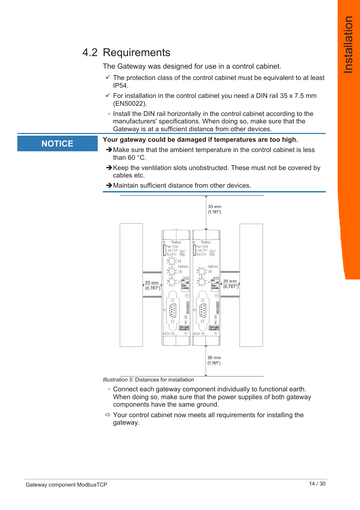## 4.2 Requirements

The Gateway was designed for use in a control cabinet.

- $\checkmark$  The protection class of the control cabinet must be equivalent to at least IP54.
- $\checkmark$  For installation in the control cabinet you need a DIN rail 35 x 7.5 mm (EN50022).
- Install the DIN rail horizontally in the control cabinet according to the manufacturers' specifications. When doing so, make sure that the Gateway is at a sufficient distance from other devices.

#### **NOTICE Your gateway could be damaged if temperatures are too high.**

- $\rightarrow$  Make sure that the ambient temperature in the control cabinet is less than 60 °C.
- $\rightarrow$  Keep the ventilation slots unobstructed. These must not be covered by cables etc.
- $\rightarrow$  Maintain sufficient distance from other devices.



*Illustration 5:* Distances for installation

- Connect each gateway component individually to functional earth. When doing so, make sure that the power supplies of both gateway components have the same ground.
- $\Rightarrow$  Your control cabinet now meets all requirements for installing the gateway.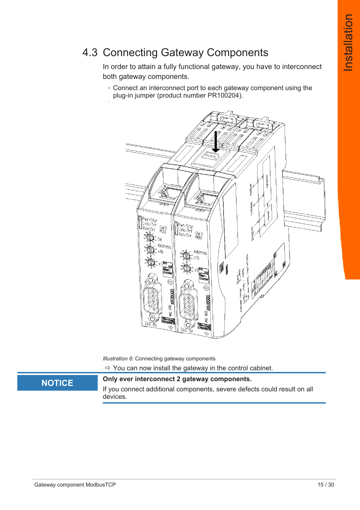## 4.3 Connecting Gateway Components

In order to attain a fully functional gateway, you have to interconnect both gateway components.

◦ Connect an interconnect port to each gateway component using the plug-in jumper (product number PR100204).



*Illustration 6:* Connecting gateway components

 $\Rightarrow$  You can now install the gateway in the control cabinet.

#### **NOTICE Only ever interconnect 2 gateway components.**

If you connect additional components, severe defects could result on all devices.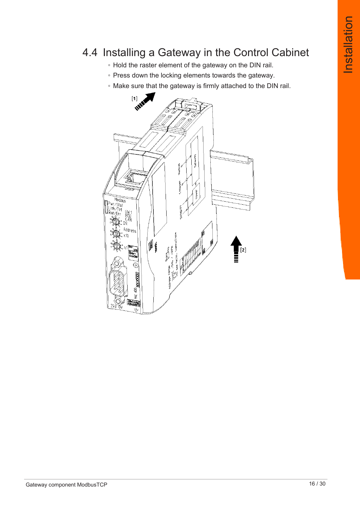## 4.4 Installing a Gateway in the Control Cabinet

- Hold the raster element of the gateway on the DIN rail.
- Press down the locking elements towards the gateway.
- Make sure that the gateway is firmly attached to the DIN rail.

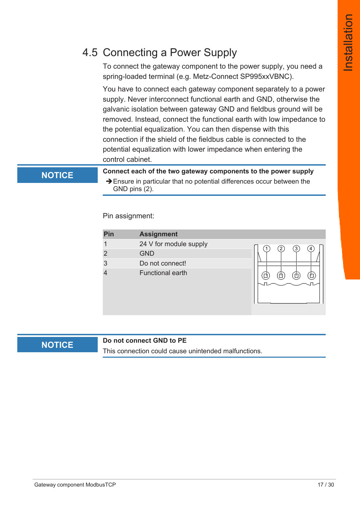## 4.5 Connecting a Power Supply

To connect the gateway component to the power supply, you need a spring-loaded terminal (e.g. Metz-Connect SP995xxVBNC).

You have to connect each gateway component separately to a power supply. Never interconnect functional earth and GND, otherwise the galvanic isolation between gateway GND and fieldbus ground will be removed. Instead, connect the functional earth with low impedance to the potential equalization. You can then dispense with this connection if the shield of the fieldbus cable is connected to the potential equalization with lower impedance when entering the control cabinet.

**NOTICE Connect each of the two gateway components to the power supply**  $\rightarrow$  Ensure in particular that no potential differences occur between the GND pins (2).

Pin assignment:

| Pin            | <b>Assignment</b>       |                   |
|----------------|-------------------------|-------------------|
|                | 24 V for module supply  | $\mathbf{2}$<br>3 |
| $\overline{2}$ | <b>GND</b>              | 4                 |
| 3              | Do not connect!         |                   |
|                | <b>Functional earth</b> |                   |

#### **NOTICE Do not connect GND to PE**

This connection could cause unintended malfunctions.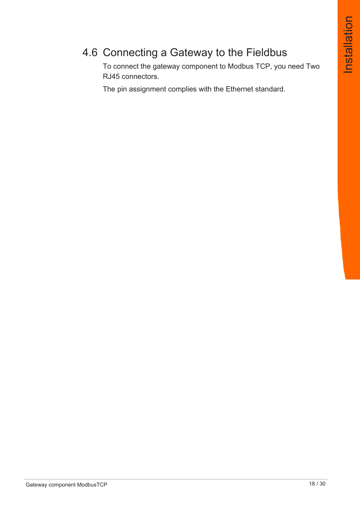## 4.6 Connecting a Gateway to the Fieldbus

To connect the gateway component to Modbus TCP, you need Two RJ45 connectors.

The pin assignment complies with the Ethernet standard.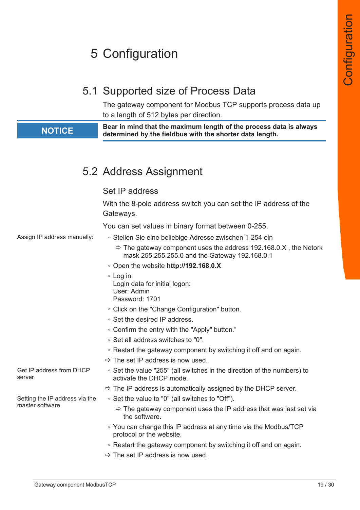# 5 Configuration

## 5.1 Supported size of Process Data

The gateway component for Modbus TCP supports process data up to a length of 512 bytes per direction.

**NOTICE Bear in mind that the maximum length of the process data is always determined by the fieldbus with the shorter data length.**

## 5.2 Address Assignment

#### Set IP address

With the 8-pole address switch you can set the IP address of the Gateways. You can set values in binary format between 0-255. Assign IP address manually: ◦ Stellen Sie eine beliebige Adresse zwischen 1-254 ein  $\Rightarrow$  The gateway component uses the address 192.168.0.X, the Netork mask 255.255.255.0 and the Gateway 192.168.0.1 ◦ Open the website **http://192.168.0.X** ◦ Log in: Login data for initial logon: User: Admin Password: 1701 ◦ Click on the "Change Configuration" button. ◦ Set the desired IP address. ◦ Confirm the entry with the "Apply" button." ◦ Set all address switches to "0". ◦ Restart the gateway component by switching it off and on again.  $\Rightarrow$  The set IP address is now used. Get IP address from DHCP server ◦ Set the value "255" (all switches in the direction of the numbers) to activate the DHCP mode.  $\Rightarrow$  The IP address is automatically assigned by the DHCP server. Setting the IP address via the master software ◦ Set the value to "0" (all switches to "Off").  $\Rightarrow$  The gateway component uses the IP address that was last set via the software. ◦ You can change this IP address at any time via the Modbus/TCP protocol or the website. ◦ Restart the gateway component by switching it off and on again.  $\Rightarrow$  The set IP address is now used.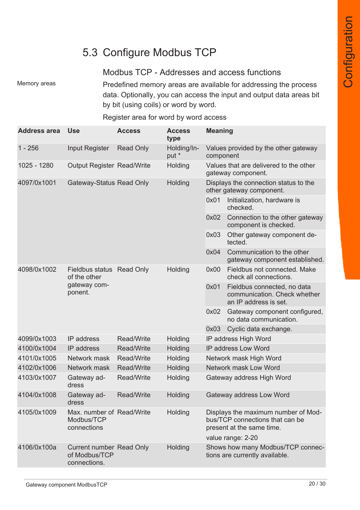## 5.3 Configure Modbus TCP

#### Modbus TCP - Addresses and access functions

Memory areas **Predefined memory areas are available for addressing the process** data. Optionally, you can access the input and output data areas bit by bit (using coils) or word by word.

| <b>Address area</b> | <b>Use</b>                                                       | <b>Access</b>     | <b>Access</b><br>type | <b>Meaning</b>                                                                                                           |                                                                                      |
|---------------------|------------------------------------------------------------------|-------------------|-----------------------|--------------------------------------------------------------------------------------------------------------------------|--------------------------------------------------------------------------------------|
| $1 - 256$           | <b>Input Register</b>                                            | <b>Read Only</b>  | Holding/In-<br>put *  | component                                                                                                                | Values provided by the other gateway                                                 |
| 1025 - 1280         | <b>Output Register Read/Write</b>                                |                   | Holding               |                                                                                                                          | Values that are delivered to the other<br>gateway component.                         |
| 4097/0x1001         | Gateway-Status Read Only                                         |                   | Holding               |                                                                                                                          | Displays the connection status to the<br>other gateway component.                    |
|                     |                                                                  |                   |                       | 0x01                                                                                                                     | Initialization, hardware is<br>checked.                                              |
|                     |                                                                  |                   |                       | 0x02                                                                                                                     | Connection to the other gateway<br>component is checked.                             |
|                     |                                                                  |                   |                       | 0x03                                                                                                                     | Other gateway component de-<br>tected.                                               |
|                     |                                                                  |                   |                       | 0x04                                                                                                                     | Communication to the other<br>gateway component established.                         |
| 4098/0x1002         | Fieldbus status Read Only<br>of the other                        |                   | Holding               | 0x00                                                                                                                     | Fieldbus not connected. Make<br>check all connections.                               |
|                     | gateway com-<br>ponent.                                          |                   |                       | 0x01                                                                                                                     | Fieldbus connected, no data<br>communication. Check whether<br>an IP address is set. |
|                     |                                                                  |                   |                       | 0x02                                                                                                                     | Gateway component configured,<br>no data communication.                              |
|                     |                                                                  |                   |                       | 0x03                                                                                                                     | Cyclic data exchange.                                                                |
| 4099/0x1003         | IP address                                                       | <b>Read/Write</b> | Holding               | IP address High Word                                                                                                     |                                                                                      |
| 4100/0x1004         | IP address                                                       | <b>Read/Write</b> | Holding               | IP address Low Word                                                                                                      |                                                                                      |
| 4101/0x1005         | Network mask                                                     | <b>Read/Write</b> | Holding               | Network mask High Word                                                                                                   |                                                                                      |
| 4102/0x1006         | Network mask                                                     | <b>Read/Write</b> | Holding               | <b>Network mask Low Word</b>                                                                                             |                                                                                      |
| 4103/0x1007         | Gateway ad-<br>dress                                             | <b>Read/Write</b> | Holding               | Gateway address High Word                                                                                                |                                                                                      |
| 4104/0x1008         | Gateway ad-<br>dress                                             | <b>Read/Write</b> | Holding               |                                                                                                                          | Gateway address Low Word                                                             |
| 4105/0x1009         | Max. number of Read/Write<br>Modbus/TCP<br>connections           |                   | Holding               | Displays the maximum number of Mod-<br>bus/TCP connections that can be<br>present at the same time.<br>value range: 2-20 |                                                                                      |
| 4106/0x100a         | <b>Current number Read Only</b><br>of Modbus/TCP<br>connections. |                   | Holding               |                                                                                                                          | Shows how many Modbus/TCP connec-<br>tions are currently available.                  |

#### Register area for word by word access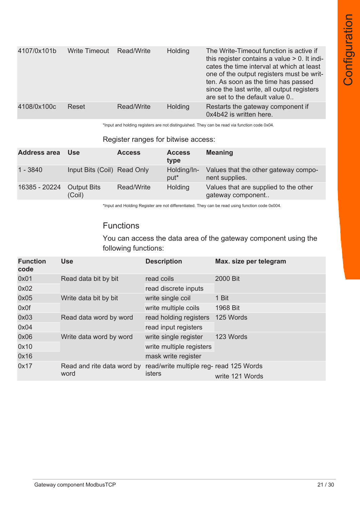| 4107/0x101b | <b>Write Timeout</b> | Read/Write | <b>Holding</b> | The Write-Timeout function is active if<br>this register contains a value $> 0$ . It indi-<br>cates the time interval at which at least<br>one of the output registers must be writ-<br>ten. As soon as the time has passed<br>since the last write, all output registers<br>are set to the default value 0 |
|-------------|----------------------|------------|----------------|-------------------------------------------------------------------------------------------------------------------------------------------------------------------------------------------------------------------------------------------------------------------------------------------------------------|
| 4108/0x100c | Reset                | Read/Write | <b>Holding</b> | Restarts the gateway component if<br>0x4b42 is written here.                                                                                                                                                                                                                                                |

\*Input and holding registers are not distinguished. They can be read via function code 0x04.

#### Register ranges for bitwise access:

| <b>Address area</b> | <b>Use</b>                   | <b>Access</b> | <b>Access</b><br>type           | <b>Meaning</b>                                             |
|---------------------|------------------------------|---------------|---------------------------------|------------------------------------------------------------|
| 1 - 3840            | Input Bits (Coil) Read Only  |               | Holding/In-<br>put <sup>*</sup> | Values that the other gateway compo-<br>nent supplies.     |
| 16385 - 20224       | <b>Output Bits</b><br>(Coil) | Read/Write    | <b>Holding</b>                  | Values that are supplied to the other<br>gateway component |

\*Input and Holding Register are not differentiated. They can be read using function code 0x004.

#### Functions

You can access the data area of the gateway component using the following functions:

| <b>Function</b><br>code | <b>Use</b>                         | <b>Description</b>                                       | Max. size per telegram |
|-------------------------|------------------------------------|----------------------------------------------------------|------------------------|
| 0x01                    | Read data bit by bit               | read coils                                               | 2000 Bit               |
| 0x02                    |                                    | read discrete inputs                                     |                        |
| 0x05                    | Write data bit by bit              | write single coil                                        | 1 Bit                  |
| 0x0f                    |                                    | write multiple coils                                     | 1968 Bit               |
| 0x03                    | Read data word by word             | read holding registers                                   | 125 Words              |
| 0x04                    |                                    | read input registers                                     |                        |
| 0x06                    | Write data word by word            | write single register                                    | 123 Words              |
| 0x10                    |                                    | write multiple registers                                 |                        |
| 0x16                    |                                    | mask write register                                      |                        |
| 0x17                    | Read and rite data word by<br>word | read/write multiple reg- read 125 Words<br><b>isters</b> | write 121 Words        |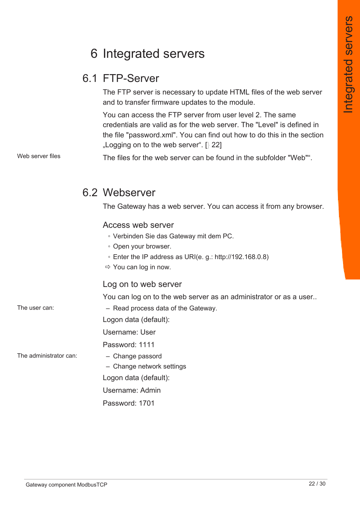# 6 Integrated servers

## 6.1 FTP-Server

The FTP server is necessary to update HTML files of the web server and to transfer firmware updates to the module.

You can access the FTP server from user level 2. The same credentials are valid as for the web server. The "Level" is defined in the file "password.xml". You can find out how to do this in the section "Logging on to the web server".  $[$  22]

Web server files The files for the web server can be found in the subfolder "Web"".

#### 6.2 Webserver

The Gateway has a web server. You can access it from any browser.

#### Access web server

- Verbinden Sie das Gateway mit dem PC.
- Open your browser.
- Enter the IP address as URI(e. g.: [http://192.168.0.8\)](http://192.168.0.8)
- $\Rightarrow$  You can log in now.

#### Log on to web server

You can log on to the web server as an administrator or as a user..

The user can:  $\qquad -$  Read process data of the Gateway.

Logon data (default):

Username: User

Password: 1111

The administrator can: – Change passord

- Change network settings
- Logon data (default):
- Username: Admin

Password: 1701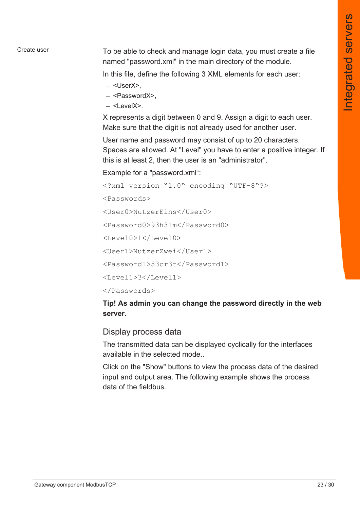Create user To be able to check and manage login data, you must create a file named "password.xml" in the main directory of the module.

In this file, define the following 3 XML elements for each user:

- <UserX>,
- <PasswordX>,
- $<$ LevelX $>$

X represents a digit between 0 and 9. Assign a digit to each user. Make sure that the digit is not already used for another user.

User name and password may consist of up to 20 characters. Spaces are allowed. At "Level" you have to enter a positive integer. If this is at least 2, then the user is an "administrator".

Example for a "password.xml":

```
<?xml version="1.0" encoding="UTF-8"?>
```
<Passwords>

<User0>NutzerEins</User0>

<Password0>93h31m</Password0>

<Level0>1</Level0>

<User1>NutzerZwei</User1>

<Password1>53cr3t</Password1>

 $<$ Level1>3 $<$ /Level1>

</Passwords>

**Tip! As admin you can change the password directly in the web server.**

#### Display process data

The transmitted data can be displayed cyclically for the interfaces available in the selected mode..

Click on the "Show" buttons to view the process data of the desired input and output area. The following example shows the process data of the fieldbus.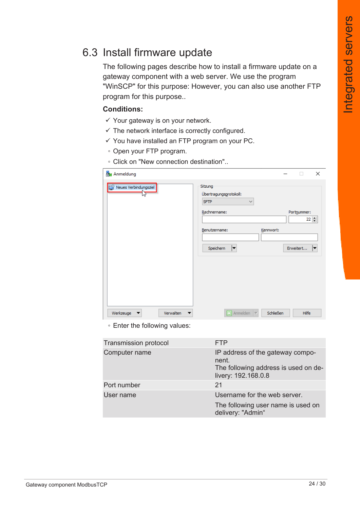#### 6.3 Install firmware update

The following pages describe how to install a firmware update on a gateway component with a web server. We use the program "WinSCP" for this purpose: However, you can also use another FTP program for this purpose..

#### **Conditions:**

- $\checkmark$  Your gateway is on your network.
- $\checkmark$  The network interface is correctly configured.
- $\checkmark$  You have installed an FTP program on your PC.
- Open your FTP program.
- Click on "New connection destination"..

| Anmeldung             |           |                                                                                                                      |           | п                                | $\times$ |
|-----------------------|-----------|----------------------------------------------------------------------------------------------------------------------|-----------|----------------------------------|----------|
| Neues Verbindungsziel |           | Sitzung<br>Übertragungsprotokoll:<br><b>SFTP</b><br>$\checkmark$<br>Rechnername:<br>Benutzername:<br>Speichern<br> ▼ | Kennwort: | Portnummer:<br>22 =<br>Erweitert | ▼        |
| Werkzeuge             | Verwalten | $\boxed{2}$ Anmelden $\boxed{\blacktriangledown}$                                                                    | Schließen | <b>Hilfe</b>                     |          |

◦ Enter the following values:

| <b>Transmission protocol</b> | <b>FTP</b>                                                                                               |
|------------------------------|----------------------------------------------------------------------------------------------------------|
| Computer name                | IP address of the gateway compo-<br>nent.<br>The following address is used on de-<br>livery: 192.168.0.8 |
| Port number                  | 21                                                                                                       |
| User name                    | Username for the web server.                                                                             |
|                              | The following user name is used on<br>delivery: "Admin"                                                  |
|                              |                                                                                                          |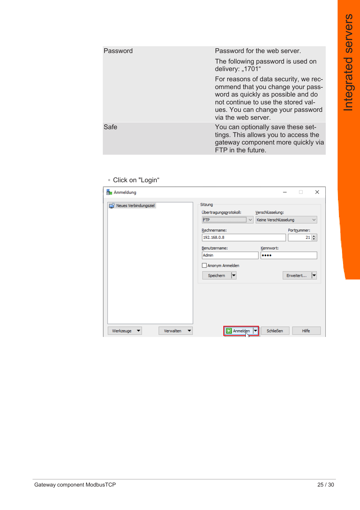| Password | Password for the web server.                                                                                                                                                                                        |
|----------|---------------------------------------------------------------------------------------------------------------------------------------------------------------------------------------------------------------------|
|          | The following password is used on<br>delivery: "1701"                                                                                                                                                               |
|          | For reasons of data security, we rec-<br>ommend that you change your pass-<br>word as quickly as possible and do<br>not continue to use the stored val-<br>ues. You can change your password<br>via the web server. |
| Safe     | You can optionally save these set-<br>tings. This allows you to access the<br>gateway component more quickly via<br>FTP in the future.                                                                              |
|          |                                                                                                                                                                                                                     |

#### ◦ Click on "Login"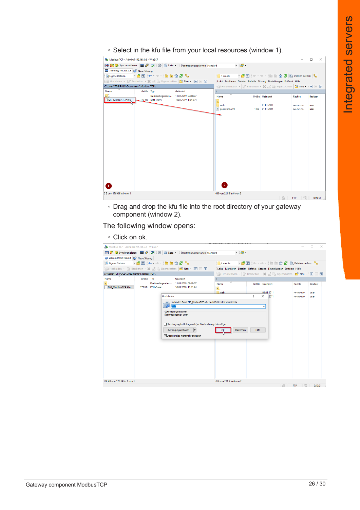◦ Select in the kfu file from your local resources (window 1).

| Modbus TCP - Admin@192.168.0.8 - WinSCP  |                                                                        |                                       |                                                                                                                                                                                                                                                                                                   |                                                                      |  |                                                                          |                        | $\times$<br>п   |
|------------------------------------------|------------------------------------------------------------------------|---------------------------------------|---------------------------------------------------------------------------------------------------------------------------------------------------------------------------------------------------------------------------------------------------------------------------------------------------|----------------------------------------------------------------------|--|--------------------------------------------------------------------------|------------------------|-----------------|
|                                          | 田宮島Synchronisieren 国東國國會自tiste · Übertragungsoptionen Standard<br>$-8$ |                                       |                                                                                                                                                                                                                                                                                                   |                                                                      |  |                                                                          |                        |                 |
| Admin@192.168.0.8 Admin@192.168.0.8      |                                                                        |                                       |                                                                                                                                                                                                                                                                                                   |                                                                      |  |                                                                          |                        |                 |
| Bisigene Dateien → BI DI ← → BI DI A 2 B |                                                                        |                                       |                                                                                                                                                                                                                                                                                                   | $\sqrt{\frac{1}{2}}$ / <root></root>                                 |  | • <sup>2</sup> ▽   ← · → ·   ■ ■ △ 2   ④ Dateien suchen   <mark>♀</mark> |                        |                 |
|                                          |                                                                        |                                       | $\exists \mathbb{R}$ Hochladen $\ast \left[ \mathbb{Z} \right]$ Bearbeiten $\ast \mathbb{X}$ $\mathbb{A}$ $\mathbb{B}$ Eigenschaften $\left[ \begin{array}{ccc} \mathbb{B} \mathbb{S} & \mathsf{Neu} \star \end{array} \right] \boxplus \left[ \begin{array}{ccc} \mathbb{S} \end{array} \right]$ | Lokal Markieren Dateien Befehle Sitzung Einstellungen Entfernt Hilfe |  |                                                                          |                        |                 |
| C:\Users\TDIPPOLD\Documents\Modbus TCP\  |                                                                        |                                       |                                                                                                                                                                                                                                                                                                   | Expension + 2 Bearbeiten + X of B Eigenschaften   Y Neu +   H   V    |  |                                                                          |                        |                 |
| Name                                     | Größe Typ                                                              |                                       | Geändert                                                                                                                                                                                                                                                                                          |                                                                      |  |                                                                          |                        |                 |
| $\Box$                                   |                                                                        | Darüberliegendes  11.01.2019 09:48:07 |                                                                                                                                                                                                                                                                                                   | ᅐ<br>Name                                                            |  | Größe Geändert                                                           | Rechte                 | <b>Besitzer</b> |
| MG_ModbusTCP.kfu                         |                                                                        | 177 KB KFU-Datei                      | 10.01.2019 11:41:24                                                                                                                                                                                                                                                                               | <b>t.</b>                                                            |  |                                                                          |                        |                 |
|                                          |                                                                        |                                       |                                                                                                                                                                                                                                                                                                   | web<br>password.xml                                                  |  | 01.01.2011<br>1 KB 01.01.2011                                            | rw-rw-rw-<br>rw-rw-rw- | user<br>user    |
|                                          |                                                                        |                                       |                                                                                                                                                                                                                                                                                                   |                                                                      |  |                                                                          |                        |                 |
|                                          |                                                                        |                                       |                                                                                                                                                                                                                                                                                                   |                                                                      |  |                                                                          |                        |                 |
|                                          |                                                                        |                                       |                                                                                                                                                                                                                                                                                                   |                                                                      |  |                                                                          |                        |                 |
|                                          |                                                                        |                                       |                                                                                                                                                                                                                                                                                                   |                                                                      |  |                                                                          |                        |                 |
|                                          |                                                                        |                                       |                                                                                                                                                                                                                                                                                                   |                                                                      |  |                                                                          |                        |                 |
|                                          |                                                                        |                                       |                                                                                                                                                                                                                                                                                                   |                                                                      |  |                                                                          |                        |                 |
|                                          |                                                                        |                                       |                                                                                                                                                                                                                                                                                                   |                                                                      |  |                                                                          |                        |                 |
|                                          |                                                                        |                                       |                                                                                                                                                                                                                                                                                                   |                                                                      |  |                                                                          |                        |                 |
|                                          |                                                                        |                                       |                                                                                                                                                                                                                                                                                                   |                                                                      |  |                                                                          |                        |                 |
|                                          |                                                                        |                                       |                                                                                                                                                                                                                                                                                                   |                                                                      |  |                                                                          |                        |                 |
|                                          |                                                                        |                                       |                                                                                                                                                                                                                                                                                                   |                                                                      |  |                                                                          |                        |                 |
|                                          |                                                                        |                                       |                                                                                                                                                                                                                                                                                                   |                                                                      |  |                                                                          |                        |                 |
|                                          |                                                                        |                                       |                                                                                                                                                                                                                                                                                                   |                                                                      |  |                                                                          |                        |                 |
|                                          |                                                                        |                                       |                                                                                                                                                                                                                                                                                                   |                                                                      |  |                                                                          |                        |                 |
|                                          |                                                                        |                                       |                                                                                                                                                                                                                                                                                                   | $\mathbf{2}^{\prime}$                                                |  |                                                                          |                        |                 |
|                                          |                                                                        |                                       |                                                                                                                                                                                                                                                                                                   |                                                                      |  |                                                                          |                        |                 |
| 0 B von 176 KB in 0 von 1                |                                                                        |                                       |                                                                                                                                                                                                                                                                                                   | 0 B von 221 B in 0 von 2                                             |  | 屇                                                                        | <b>FTP</b>             | 0:00:51<br>ą    |

◦ Drag and drop the kfu file into the root directory of your gateway component (window 2).

The following window opens:

◦ Click on ok.

| Modbus TCP - Admin@192.168.0.8 - WinSCP |           |                        |           |                                                                             |                                                                               |       |                   |            | $\times$        |
|-----------------------------------------|-----------|------------------------|-----------|-----------------------------------------------------------------------------|-------------------------------------------------------------------------------|-------|-------------------|------------|-----------------|
| $\overline{+}$                          |           |                        |           | B De Synchronisieren <b>- 中</b> 中 图 @ Liste · Dbertragungsoptionen Standard | $-8$                                                                          |       |                   |            |                 |
| Admin@192.168.0.8 Neue Sitzung          |           |                        |           |                                                                             |                                                                               |       |                   |            |                 |
| Eigene Dateien                          |           | • 2 17 + → · 2 8 4 2 % |           |                                                                             | ■/ <root> ▼ ● 図   ← - → -   国 面 命 ●   風 Dateien suchen   <sup>D</sup>e</root> |       |                   |            |                 |
|                                         |           |                        |           | I Hochladen ▼   2 Bearbeiten ▼   X   1   Eigenschaften   Neu ▼   H   H   V  | Lokal Markieren Dateien Befehle Sitzung Einstellungen Entfernt Hilfe          |       |                   |            |                 |
| C:\Users\TDIPPOLD\Documents\Modbus TCP\ |           |                        |           |                                                                             | B Herunterladen ▼   2 Bearbeiten ▼ メ A D Eigenschaften   Y Neu ▼   +   +   マ  |       |                   |            |                 |
| ≂<br>Name                               | Größe Tvp |                        |           | Geändert                                                                    |                                                                               |       |                   |            |                 |
| $\overline{t}$ .<br>MG_ModbusTCP.kfu    |           | 177 KB KFU-Datei       |           | Darüberliegendes  11.01.2019 09:48:07<br>10.01.2019 11:41:24                | ≂<br>Name<br><b>t.</b>                                                        |       | Größe Geändert    | Rechte     | <b>Besitzer</b> |
|                                         |           |                        |           |                                                                             | web                                                                           |       | 01.01.2011        | rw-rw-rw-  | user            |
|                                         |           |                        | Hochladen |                                                                             |                                                                               | ?     | $\times$<br>.2011 | rw-rw-rw-  | user            |
|                                         |           |                        |           | Hochladen Datei 'MG_ModbusTCP.kfu' nach Entferntes Verzeichnis              |                                                                               |       |                   |            |                 |
|                                         |           | B                      | $J^*,$ *  |                                                                             |                                                                               |       | $\checkmark$      |            |                 |
|                                         |           |                        |           | Übertragungsoptionen                                                        |                                                                               |       |                   |            |                 |
|                                         |           |                        |           | Übertragungstyp: Binär                                                      |                                                                               |       |                   |            |                 |
|                                         |           |                        |           |                                                                             |                                                                               |       |                   |            |                 |
|                                         |           |                        |           | Übertragung im Hintergrund (zur Warteschlange hinzufüge                     |                                                                               |       |                   |            |                 |
|                                         |           |                        |           | Übertragungsoptionen                                                        | Abbrechen                                                                     | Hilfe |                   |            |                 |
|                                         |           |                        |           | Diesen Dialog nicht mehr anzeigen                                           |                                                                               |       |                   |            |                 |
|                                         |           |                        |           |                                                                             |                                                                               |       |                   |            |                 |
|                                         |           |                        |           |                                                                             |                                                                               |       |                   |            |                 |
|                                         |           |                        |           |                                                                             |                                                                               |       |                   |            |                 |
|                                         |           |                        |           |                                                                             |                                                                               |       |                   |            |                 |
|                                         |           |                        |           |                                                                             |                                                                               |       |                   |            |                 |
|                                         |           |                        |           |                                                                             |                                                                               |       |                   |            |                 |
|                                         |           |                        |           |                                                                             |                                                                               |       |                   |            |                 |
|                                         |           |                        |           |                                                                             |                                                                               |       |                   |            |                 |
|                                         |           |                        |           |                                                                             |                                                                               |       |                   |            |                 |
| 176 KB von 176 KB in 1 von 1            |           |                        |           |                                                                             | 0 B von 221 B in 0 von 2                                                      |       |                   |            |                 |
|                                         |           |                        |           |                                                                             |                                                                               |       |                   | <b>FTP</b> | 0:13:21         |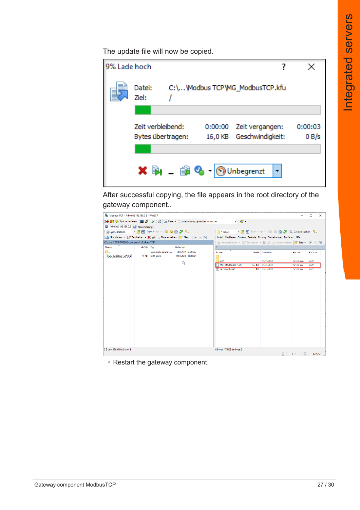The update file will now be copied.

| 9% Lade hoch |                   |                            |         |                                 |         |
|--------------|-------------------|----------------------------|---------|---------------------------------|---------|
|              | Datei:<br>Ziel:   |                            |         | C:\\Modbus TCP\MG_ModbusTCP.kfu |         |
|              |                   |                            |         |                                 |         |
|              | Zeit verbleibend: |                            | 0:00:00 | Zeit vergangen:                 | 0:00:03 |
|              |                   | Bytes übertragen:          |         | 16,0 KB Geschwindigkeit:        | 0B/s    |
|              |                   |                            |         |                                 |         |
|              |                   | <b>X 国 直岛 1</b> Unbegrenzt |         |                                 |         |
|              |                   |                            |         |                                 |         |

After successful copying, the file appears in the root directory of the gateway component..

| Modbus TCP - Admin@192.168.0.8 - WinSCP   |           |                                      |                                                                      |                                                                            |               |                 |                 | $\Box$<br>$\times$ |
|-------------------------------------------|-----------|--------------------------------------|----------------------------------------------------------------------|----------------------------------------------------------------------------|---------------|-----------------|-----------------|--------------------|
| B C Synchronisieren 国子团领留iste<br><b>H</b> |           |                                      | Übertragungsoptionen Standard                                        | $\cdot$ $\bullet$                                                          |               |                 |                 |                    |
| Admin@192.168.0.8 PV Neue Sitzung         |           |                                      |                                                                      |                                                                            |               |                 |                 |                    |
| 图Eigene Dateien → 图 17 ← → · 日 日 介 2 B    |           |                                      |                                                                      |                                                                            |               |                 |                 |                    |
|                                           |           |                                      | Hochladen - 2 Bearbeiten - X A D Eigenschaften   8 Neu -   +   -   V | Lokal Markieren Dateien Befehle Sitzung Einstellungen Entfernt Hilfe       |               |                 |                 |                    |
| C:\Users\TDIPPOLD\Documents\Modbus TCP\   |           |                                      |                                                                      | Berunterladen ▼   2 Bearbeiten ▼ ※ d D Eigenschaften   Y Neu ▼   +   +   V |               |                 |                 |                    |
| Name                                      | Größe Typ |                                      | Geändert                                                             |                                                                            |               |                 |                 |                    |
| <b>t.</b> .<br>MG ModbusTCP.kfu           |           | Darüberliegendes<br>177 KB KFU-Datei | 11.01.2019 09:48:07<br>10.01.2019 11:41:24                           | $\overline{\phantom{0}}$<br>Name<br>£.                                     |               | Größe Geändert  | Rechte          | <b>Besitzer</b>    |
|                                           |           |                                      | $\mathbb{Z}$                                                         | web                                                                        |               | 01.01.2011      | rw-rw-rw-       | user               |
|                                           |           |                                      |                                                                      | MG ModbusTCP.kfu                                                           | <b>177 KB</b> | 01.01.2011      | TW-TW-TW-       | user               |
|                                           |           |                                      |                                                                      | password.xml                                                               |               | 1 KB 01.01.2011 | I'W-I'W-I'W-    | user               |
|                                           |           |                                      |                                                                      |                                                                            |               |                 |                 |                    |
|                                           |           |                                      |                                                                      |                                                                            |               |                 |                 |                    |
|                                           |           |                                      |                                                                      |                                                                            |               |                 |                 |                    |
|                                           |           |                                      |                                                                      |                                                                            |               |                 |                 |                    |
|                                           |           |                                      |                                                                      |                                                                            |               |                 |                 |                    |
|                                           |           |                                      |                                                                      |                                                                            |               |                 |                 |                    |
|                                           |           |                                      |                                                                      |                                                                            |               |                 |                 |                    |
|                                           |           |                                      |                                                                      |                                                                            |               |                 |                 |                    |
|                                           |           |                                      |                                                                      |                                                                            |               |                 |                 |                    |
|                                           |           |                                      |                                                                      |                                                                            |               |                 |                 |                    |
|                                           |           |                                      |                                                                      |                                                                            |               |                 |                 |                    |
|                                           |           |                                      |                                                                      |                                                                            |               |                 |                 |                    |
|                                           |           |                                      |                                                                      |                                                                            |               |                 |                 |                    |
|                                           |           |                                      |                                                                      |                                                                            |               |                 |                 |                    |
|                                           |           |                                      |                                                                      |                                                                            |               |                 |                 |                    |
| 0 B von 176 KB in 0 von 1                 |           |                                      |                                                                      | 0 B von 176 KB in 0 von 3                                                  |               |                 |                 |                    |
|                                           |           |                                      |                                                                      |                                                                            |               |                 | 由<br><b>FTP</b> | 0:15:42            |

◦ Restart the gateway component.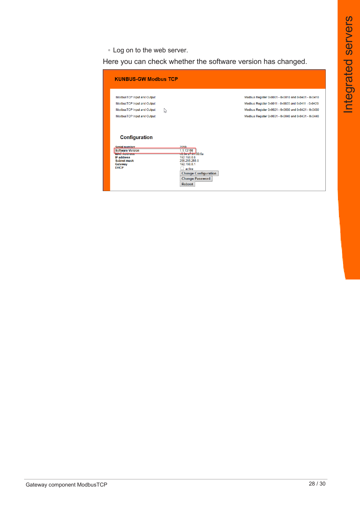◦ Log on to the web server.

Here you can check whether the software version has changed.

| <b>KUNBUS-GW Modbus TCP</b>                                                                                                                                                                                                           |                                                                                                                                                                                                                          |
|---------------------------------------------------------------------------------------------------------------------------------------------------------------------------------------------------------------------------------------|--------------------------------------------------------------------------------------------------------------------------------------------------------------------------------------------------------------------------|
| ModbusTCP Input and Output<br>ModbusTCP Input and Output<br>ModbusTCP Input and Output<br>↳<br>ModbusTCP Input and Output                                                                                                             | Modbus Register 0x0001 - 0x0010 and 0x0401 - 0x0410<br>Modbus Register 0x0011 - 0x0020 and 0x0411 - 0x0420<br>Modbus Register 0x0021 - 0x0030 and 0x0421 - 0x0430<br>Modbus Register 0x0031 - 0x0040 and 0x0431 - 0x0440 |
| Configuration<br>Serial number<br>2859<br>1.1.13166<br><b>Software Version</b><br><b>MAC Address</b><br><b>IP address</b><br>192.168.0.8<br>Subnet mask<br>255.255.255.0<br>192.168.0.1<br>Gateway<br><b>DHCP</b><br>active<br>Reboot | c8.3e.a/01.00:6a<br><b>Change Configuration</b><br><b>Change Password</b>                                                                                                                                                |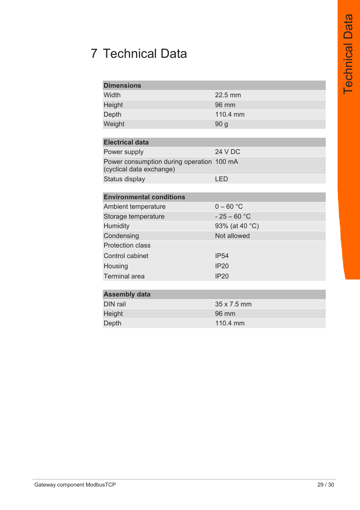# 7 Technical Data

| <b>Dimensions</b>                                                     |                |
|-----------------------------------------------------------------------|----------------|
| Width                                                                 | 22.5 mm        |
| Height                                                                | 96 mm          |
| Depth                                                                 | 110.4 mm       |
| Weight                                                                | 90 g           |
|                                                                       |                |
| <b>Electrical data</b>                                                |                |
| Power supply                                                          | <b>24 V DC</b> |
| Power consumption during operation 100 mA<br>(cyclical data exchange) |                |
| Status display                                                        | <b>LED</b>     |
|                                                                       |                |
| <b>Environmental conditions</b>                                       |                |
| Ambient temperature                                                   | $0 - 60 °C$    |
| Storage temperature                                                   | $-25-60$ °C    |
| Humidity                                                              | 93% (at 40 °C) |
| Condensing                                                            | Not allowed    |
| <b>Protection class</b>                                               |                |
| Control cabinet                                                       | <b>IP54</b>    |
| Housing                                                               | <b>IP20</b>    |
| <b>Terminal area</b>                                                  | <b>IP20</b>    |
|                                                                       |                |
| <b>Assembly data</b>                                                  |                |
| DIN rail                                                              | 35 x 7.5 mm    |
| Height                                                                | 96 mm          |
| Depth                                                                 | 110.4 mm       |